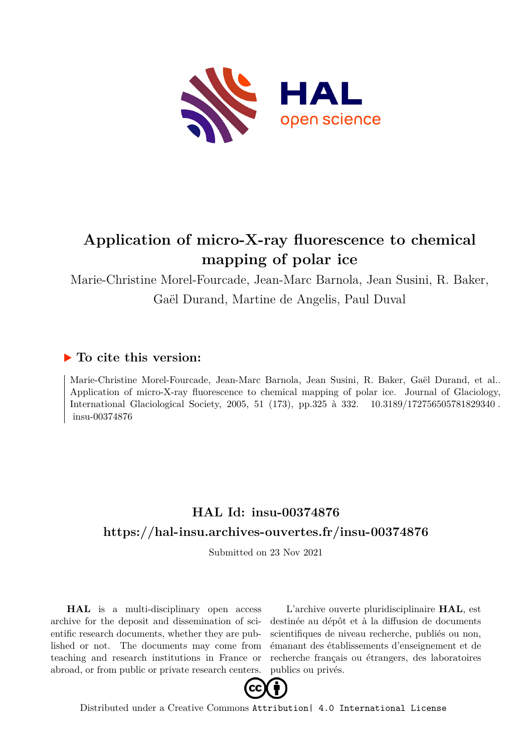

# **Application of micro-X-ray fluorescence to chemical mapping of polar ice**

Marie-Christine Morel-Fourcade, Jean-Marc Barnola, Jean Susini, R. Baker, Gaël Durand, Martine de Angelis, Paul Duval

### **To cite this version:**

Marie-Christine Morel-Fourcade, Jean-Marc Barnola, Jean Susini, R. Baker, Gaël Durand, et al.. Application of micro-X-ray fluorescence to chemical mapping of polar ice. Journal of Glaciology, International Glaciological Society, 2005, 51 (173), pp.325 à 332. 10.3189/172756505781829340. insu-00374876

## **HAL Id: insu-00374876 <https://hal-insu.archives-ouvertes.fr/insu-00374876>**

Submitted on 23 Nov 2021

**HAL** is a multi-disciplinary open access archive for the deposit and dissemination of scientific research documents, whether they are published or not. The documents may come from teaching and research institutions in France or abroad, or from public or private research centers.

L'archive ouverte pluridisciplinaire **HAL**, est destinée au dépôt et à la diffusion de documents scientifiques de niveau recherche, publiés ou non, émanant des établissements d'enseignement et de recherche français ou étrangers, des laboratoires publics ou privés.



Distributed under a Creative Commons [Attribution| 4.0 International License](http://creativecommons.org/licenses/by/4.0/)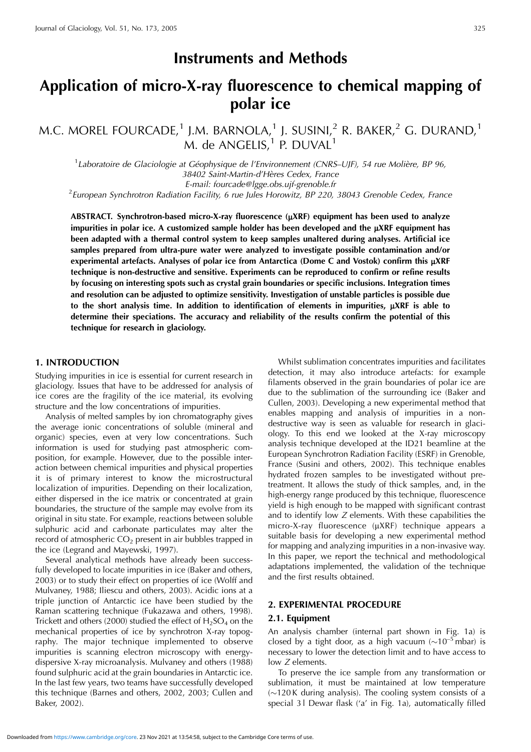## **Instruments and Methods**

## **Application of micro-X-ray fluorescence to chemical mapping of polar ice**

M.C. MOREL FOURCADE,<sup>1</sup> J.M. BARNOLA,<sup>1</sup> J. SUSINI,<sup>2</sup> R. BAKER,<sup>2</sup> G. DURAND,<sup>1</sup>  $M.$  de ANGELIS.<sup>1</sup> P. DUVAL<sup>1</sup>

<sup>1</sup> Laboratoire de Glaciologie at Géophysique de l'Environnement (CNRS-UJF), 54 rue Molière, BP 96, 38402 Saint-Martin-d'Hères Cedex, France

E-mail: fourcade@lgge.obs.ujf-grenoble.fr<br>European Synchrotron Radiation Facility, 6 rue Jules Horowitz, BP 220, 38043 Grenoble Cedex, France <sup>2</sup>

ABSTRACT. Synchrotron-based micro-X-ray fluorescence ( $\mu$ XRF) equipment has been used to analyze **impurities in polar ice. A customized sample holder has been developed and the** m**XRF equipment has been adapted with a thermal control system to keep samples unaltered during analyses. Artificial ice samples prepared from ultra-pure water were analyzed to investigate possible contamination and/or** experimental artefacts. Analyses of polar ice from Antarctica (Dome C and Vostok) confirm this  $\mu$ XRF **technique is non-destructive and sensitive. Experiments can be reproduced to confirm or refine results by focusing on interesting spots such as crystal grain boundaries or specific inclusions. Integration times and resolution can be adjusted to optimize sensitivity. Investigation of unstable particles is possible due** to the short analysis time. In addition to identification of elements in impurities,  $\mu$ XRF is able to **determine their speciations. The accuracy and reliability of the results confirm the potential of this technique for research in glaciology.**

#### **1. INTRODUCTION**

Studying impurities in ice is essential for current research in glaciology. Issues that have to be addressed for analysis of ice cores are the fragility of the ice material, its evolving structure and the low concentrations of impurities.

Analysis of melted samples by ion chromatography gives the average ionic concentrations of soluble (mineral and organic) species, even at very low concentrations. Such information is used for studying past atmospheric composition, for example. However, due to the possible interaction between chemical impurities and physical properties it is of primary interest to know the microstructural localization of impurities. Depending on their localization, either dispersed in the ice matrix or concentrated at grain boundaries, the structure of the sample may evolve from its original in situ state. For example, reactions between soluble sulphuric acid and carbonate particulates may alter the record of atmospheric  $CO<sub>2</sub>$  present in air bubbles trapped in the ice (Legrand and Mayewski, 1997).

Several analytical methods have already been successfully developed to locate impurities in ice (Baker and others, 2003) or to study their effect on properties of ice (Wolff and Mulvaney, 1988; Iliescu and others, 2003). Acidic ions at a triple junction of Antarctic ice have been studied by the Raman scattering technique (Fukazawa and others, 1998). Trickett and others (2000) studied the effect of  $H_2SO_4$  on the mechanical properties of ice by synchrotron X-ray topography. The major technique implemented to observe impurities is scanning electron microscopy with energydispersive X-ray microanalysis. Mulvaney and others (1988) found sulphuric acid at the grain boundaries in Antarctic ice. In the last few years, two teams have successfully developed this technique (Barnes and others, 2002, 2003; Cullen and Baker, 2002).

Whilst sublimation concentrates impurities and facilitates detection, it may also introduce artefacts: for example filaments observed in the grain boundaries of polar ice are due to the sublimation of the surrounding ice (Baker and Cullen, 2003). Developing a new experimental method that enables mapping and analysis of impurities in a nondestructive way is seen as valuable for research in glaciology. To this end we looked at the X-ray microscopy analysis technique developed at the ID21 beamline at the European Synchrotron Radiation Facility (ESRF) in Grenoble, France (Susini and others, 2002). This technique enables hydrated frozen samples to be investigated without pretreatment. It allows the study of thick samples, and, in the high-energy range produced by this technique, fluorescence yield is high enough to be mapped with significant contrast and to identify low Z elements. With these capabilities the micro-X-ray fluorescence  $(\mu XRF)$  technique appears a suitable basis for developing a new experimental method for mapping and analyzing impurities in a non-invasive way. In this paper, we report the technical and methodological adaptations implemented, the validation of the technique and the first results obtained.

#### **2. EXPERIMENTAL PROCEDURE**

#### **2.1. Equipment**

An analysis chamber (internal part shown in Fig. 1a) is closed by a tight door, as a high vacuum ( $\sim 10^{-5}$  mbar) is necessary to lower the detection limit and to have access to low Z elements.

To preserve the ice sample from any transformation or sublimation, it must be maintained at low temperature  $\sim$ 120 K during analysis). The cooling system consists of a special 31 Dewar flask ('a' in Fig. 1a), automatically filled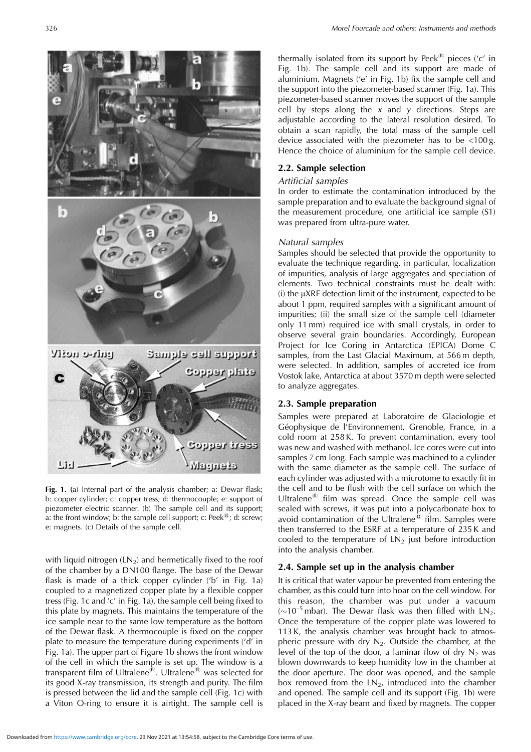

**Fig. 1. (**a) Internal part of the analysis chamber; a: Dewar flask; b: copper cylinder; c: copper tress; d: thermocouple; e: support of piezometer electric scanner. (b) The sample cell and its support; a: the front window; b: the sample cell support; c: Peek $\mathbb{B}$ ; d: screw; e: magnets. (c) Details of the sample cell.

with liquid nitrogen  $(LN_2)$  and hermetically fixed to the roof of the chamber by a DN100 flange. The base of the Dewar flask is made of a thick copper cylinder ('b' in Fig. 1a) coupled to a magnetized copper plate by a flexible copper tress (Fig. 1c and 'c' in Fig. 1a), the sample cell being fixed to this plate by magnets. This maintains the temperature of the ice sample near to the same low temperature as the bottom of the Dewar flask. A thermocouple is fixed on the copper plate to measure the temperature during experiments ('d' in Fig. 1a). The upper part of Figure 1b shows the front window of the cell in which the sample is set up. The window is a transparent film of Ultralene<sup>®</sup>. Ultralene<sup>®</sup> was selected for its good X-ray transmission, its strength and purity. The film is pressed between the lid and the sample cell (Fig. 1c) with a Viton O-ring to ensure it is airtight. The sample cell is thermally isolated from its support by Peek $\mathbb{B}$  pieces ('c' in Fig. 1b). The sample cell and its support are made of aluminium. Magnets ('e' in Fig. 1b) fix the sample cell and the support into the piezometer-based scanner (Fig. 1a). This piezometer-based scanner moves the support of the sample cell by steps along the  $x$  and  $y$  directions. Steps are adjustable according to the lateral resolution desired. To obtain a scan rapidly, the total mass of the sample cell device associated with the piezometer has to be <100 g. Hence the choice of aluminium for the sample cell device.

#### **2.2. Sample selection**

#### Artificial samples

In order to estimate the contamination introduced by the sample preparation and to evaluate the background signal of the measurement procedure, one artificial ice sample (S1) was prepared from ultra-pure water.

#### Natural samples

Samples should be selected that provide the opportunity to evaluate the technique regarding, in particular, localization of impurities, analysis of large aggregates and speciation of elements. Two technical constraints must be dealt with:  $(i)$  the  $\mu$ XRF detection limit of the instrument, expected to be about 1 ppm, required samples with a significant amount of impurities; (ii) the small size of the sample cell (diameter only 11 mm) required ice with small crystals, in order to observe several grain boundaries. Accordingly, European Project for Ice Coring in Antarctica (EPICA) Dome C samples, from the Last Glacial Maximum, at 566 m depth, were selected. In addition, samples of accreted ice from Vostok lake, Antarctica at about 3570 m depth were selected to analyze aggregates.

#### **2.3. Sample preparation**

Samples were prepared at Laboratoire de Glaciologie et Géophysique de l'Environnement, Grenoble, France, in a cold room at 258 K. To prevent contamination, every tool was new and washed with methanol. Ice cores were cut into samples 7 cm long. Each sample was machined to a cylinder with the same diameter as the sample cell. The surface of each cylinder was adjusted with a microtome to exactly fit in the cell and to be flush with the cell surface on which the Ultralene $^{(8)}$  film was spread. Once the sample cell was sealed with screws, it was put into a polycarbonate box to avoid contamination of the Ultralene $^{\circledR}$  film. Samples were then transferred to the ESRF at a temperature of 235 K and cooled to the temperature of  $LN<sub>2</sub>$  just before introduction into the analysis chamber.

#### **2.4. Sample set up in the analysis chamber**

It is critical that water vapour be prevented from entering the chamber, as this could turn into hoar on the cell window. For this reason, the chamber was put under a vacuum ( $\sim$ 10<sup>-5</sup> mbar). The Dewar flask was then filled with LN<sub>2</sub>. Once the temperature of the copper plate was lowered to 113 K, the analysis chamber was brought back to atmospheric pressure with dry  $N_2$ . Outside the chamber, at the level of the top of the door, a laminar flow of dry  $N_2$  was blown downwards to keep humidity low in the chamber at the door aperture. The door was opened, and the sample box removed from the  $LN<sub>2</sub>$ , introduced into the chamber and opened. The sample cell and its support (Fig. 1b) were placed in the X-ray beam and fixed by magnets. The copper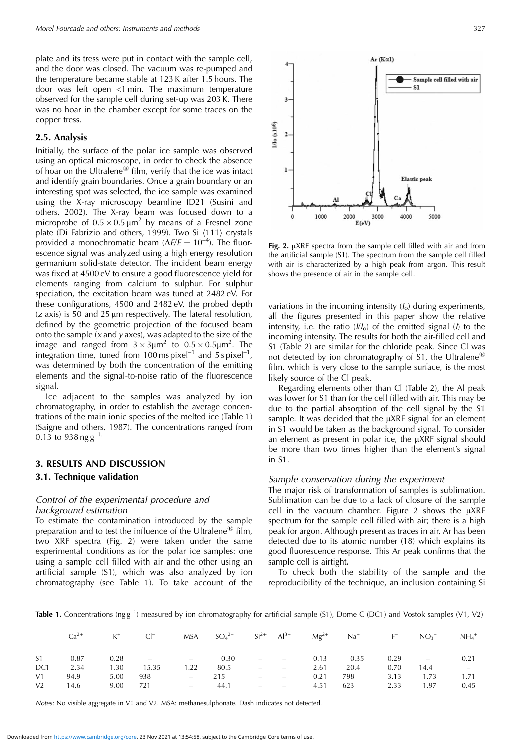plate and its tress were put in contact with the sample cell, and the door was closed. The vacuum was re-pumped and the temperature became stable at 123 K after 1.5 hours. The door was left open <1 min. The maximum temperature observed for the sample cell during set-up was 203 K. There was no hoar in the chamber except for some traces on the copper tress.

#### **2.5. Analysis**

Initially, the surface of the polar ice sample was observed using an optical microscope, in order to check the absence of hoar on the Ultralene $^{\circledR}$  film, verify that the ice was intact and identify grain boundaries. Once a grain boundary or an interesting spot was selected, the ice sample was examined using the X-ray microscopy beamline ID21 (Susini and others, 2002). The X-ray beam was focused down to a microprobe of  $0.5 \times 0.5 \mu m^2$  by means of a Fresnel zone plate (Di Fabrizio and others, 1999). Two Si  $\langle 111 \rangle$  crystals provided a monochromatic beam ( $\Delta E/E = 10^{-4}$ ). The fluorescence signal was analyzed using a high energy resolution germanium solid-state detector. The incident beam energy was fixed at 4500 eV to ensure a good fluorescence yield for elements ranging from calcium to sulphur. For sulphur speciation, the excitation beam was tuned at 2482 eV. For these configurations, 4500 and 2482 eV, the probed depth  $(z \text{ axis})$  is 50 and 25  $\mu$ m respectively. The lateral resolution, defined by the geometric projection of the focused beam onto the sample  $(x \text{ and } y \text{ axes})$ , was adapted to the size of the image and ranged from  $3 \times 3 \mu m^2$  to  $0.5 \times 0.5 \mu m^2$ . The integration time, tuned from 100 ms pixel<sup>-1</sup> and 5 s pixel<sup>-1</sup>, was determined by both the concentration of the emitting elements and the signal-to-noise ratio of the fluorescence signal.

Ice adjacent to the samples was analyzed by ion chromatography, in order to establish the average concentrations of the main ionic species of the melted ice (Table 1) (Saigne and others, 1987). The concentrations ranged from 0.13 to 938 ng  $g^{-1}$ 

### **3. RESULTS AND DISCUSSION 3.1. Technique validation**

#### Control of the experimental procedure and background estimation

To estimate the contamination introduced by the sample preparation and to test the influence of the Ultralene<sup>®</sup> film, two XRF spectra (Fig. 2) were taken under the same experimental conditions as for the polar ice samples: one using a sample cell filled with air and the other using an artificial sample (S1), which was also analyzed by ion chromatography (see Table 1). To take account of the



Fig. 2. µXRF spectra from the sample cell filled with air and from the artificial sample (S1). The spectrum from the sample cell filled with air is characterized by a high peak from argon. This result shows the presence of air in the sample cell.

variations in the incoming intensity  $(I_0)$  during experiments, all the figures presented in this paper show the relative intensity, i.e. the ratio  $(II<sub>o</sub>)$  of the emitted signal ( $I$ ) to the incoming intensity. The results for both the air-filled cell and S1 (Table 2) are similar for the chloride peak. Since Cl was not detected by ion chromatography of S1, the Ultralene<sup>®</sup> film, which is very close to the sample surface, is the most likely source of the Cl peak.

Regarding elements other than Cl (Table 2), the Al peak was lower for S1 than for the cell filled with air. This may be due to the partial absorption of the cell signal by the S1 sample. It was decided that the uXRF signal for an element in S1 would be taken as the background signal. To consider an element as present in polar ice, the  $\mu$ XRF signal should be more than two times higher than the element's signal in S1.

#### Sample conservation during the experiment

The major risk of transformation of samples is sublimation. Sublimation can be due to a lack of closure of the sample cell in the vacuum chamber. Figure 2 shows the  $\mu$ XRF spectrum for the sample cell filled with air; there is a high peak for argon. Although present as traces in air, Ar has been detected due to its atomic number (18) which explains its good fluorescence response. This Ar peak confirms that the sample cell is airtight.

To check both the stability of the sample and the reproducibility of the technique, an inclusion containing Si

**Table 1.** Concentrations (ng g<sup>-1</sup>) measured by ion chromatography for artificial sample (S1), Dome C (DC1) and Vostok samples (V1, V2)

|                 | $Ca^{2+}$ | $K^+$ | $Cl^-$         |                                 | MSA $SO_4^{2-}$ $Si^{2+}$ $Al^{3+}$ |                          |                          |      | $Mg^{2+}$ $Na^{+}$ | $F^-$ | NO <sub>2</sub>          | $NH_4$ <sup>+</sup> |
|-----------------|-----------|-------|----------------|---------------------------------|-------------------------------------|--------------------------|--------------------------|------|--------------------|-------|--------------------------|---------------------|
| S <sub>1</sub>  | 0.87      | 0.28  | <b>Service</b> | $-$                             | 0.30                                | $\overline{\phantom{a}}$ | $\sim 100$ km s $^{-1}$  | 0.13 | 0.35               | 0.29  | $\overline{\phantom{m}}$ | 0.21                |
| DC <sub>1</sub> | 2.34      | 1.30  | 15.35          | 1.22                            | 80.5                                | $\overline{\phantom{m}}$ | $\sim 100$ km s $^{-1}$  | 2.61 | 20.4               | 0.70  | 14.4                     | $\sim$              |
| V1              | 94.9      | 5.00  | 938            | $\overline{\phantom{0}}$        | 215                                 | $\overline{\phantom{a}}$ | $\overline{\phantom{a}}$ | 0.21 | 798                | 3.13  | 1.73                     | 1.71                |
| V <sub>2</sub>  | 14.6      | 9.00  | - 721          | $\frac{1}{2}$ and $\frac{1}{2}$ | 44.1                                | $\overline{\phantom{a}}$ | $\sim 100$ km s $^{-1}$  | 4.51 | 623                | 2.33  | 1.97                     | 0.45                |

Notes: No visible aggregate in V1 and V2. MSA: methanesulphonate. Dash indicates not detected.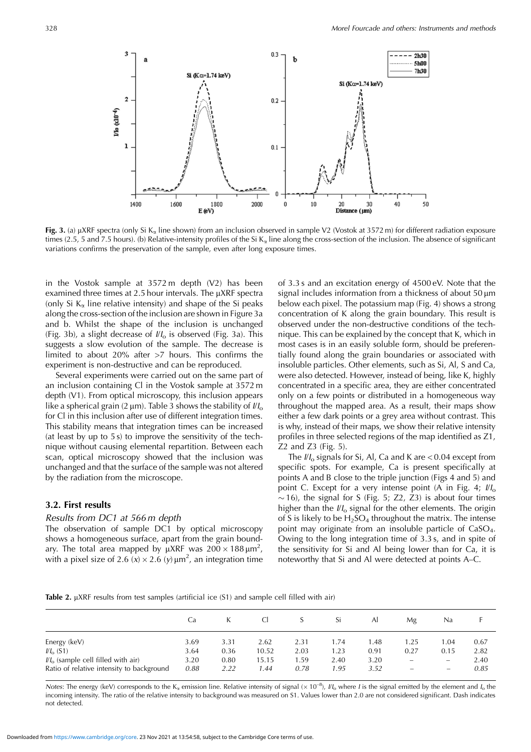

**Fig. 3.** (a)  $\mu$ XRF spectra (only Si K<sub>a</sub> line shown) from an inclusion observed in sample V2 (Vostok at 3572 m) for different radiation exposure times (2.5, 5 and 7.5 hours). (b) Relative-intensity profiles of the Si K<sub>a</sub> line along the cross-section of the inclusion. The absence of significant variations confirms the preservation of the sample, even after long exposure times.

in the Vostok sample at 3572 m depth (V2) has been examined three times at 2.5 hour intervals. The  $\mu$ XRF spectra (only Si  $K_{\alpha}$  line relative intensity) and shape of the Si peaks along the cross-section of the inclusion are shown in Figure 3a and b. Whilst the shape of the inclusion is unchanged (Fig. 3b), a slight decrease of  $I/I_0$  is observed (Fig. 3a). This suggests a slow evolution of the sample. The decrease is limited to about 20% after >7 hours. This confirms the experiment is non-destructive and can be reproduced.

Several experiments were carried out on the same part of an inclusion containing Cl in the Vostok sample at 3572 m depth (V1). From optical microscopy, this inclusion appears like a spherical grain (2  $\mu$ m). Table 3 shows the stability of  $1/l_0$ for Cl in this inclusion after use of different integration times. This stability means that integration times can be increased (at least by up to 5 s) to improve the sensitivity of the technique without causing elemental repartition. Between each scan, optical microscopy showed that the inclusion was unchanged and that the surface of the sample was not altered by the radiation from the microscope.

#### **3.2. First results**

#### Results from DC1 at 566 m depth

The observation of sample DC1 by optical microscopy shows a homogeneous surface, apart from the grain boundary. The total area mapped by  $\mu XRF$  was  $200 \times 188 \,\mu m^2$ , with a pixel size of 2.6 (x)  $\times$  2.6 (y)  $\mu$ m<sup>2</sup>, an integration time

of 3.3 s and an excitation energy of 4500 eV. Note that the signal includes information from a thickness of about  $50 \mu m$ below each pixel. The potassium map (Fig. 4) shows a strong concentration of K along the grain boundary. This result is observed under the non-destructive conditions of the technique. This can be explained by the concept that K, which in most cases is in an easily soluble form, should be preferentially found along the grain boundaries or associated with insoluble particles. Other elements, such as Si, Al, S and Ca, were also detected. However, instead of being, like K, highly concentrated in a specific area, they are either concentrated only on a few points or distributed in a homogeneous way throughout the mapped area. As a result, their maps show either a few dark points or a grey area without contrast. This is why, instead of their maps, we show their relative intensity profiles in three selected regions of the map identified as Z1, Z2 and Z3 (Fig. 5).

The  $\frac{1}{10}$  signals for Si, Al, Ca and K are < 0.04 except from specific spots. For example, Ca is present specifically at points A and B close to the triple junction (Figs 4 and 5) and point C. Except for a very intense point (A in Fig. 4;  $\frac{1}{10}$  $\sim$  16), the signal for S (Fig. 5; Z2, Z3) is about four times higher than the  $II_0$  signal for the other elements. The origin of S is likely to be  $H_2SO_4$  throughout the matrix. The intense point may originate from an insoluble particle of  $CaSO<sub>4</sub>$ . Owing to the long integration time of 3.3 s, and in spite of the sensitivity for Si and Al being lower than for Ca, it is noteworthy that Si and Al were detected at points A–C.

**Table 2.** µXRF results from test samples (artificial ice (S1) and sample cell filled with air)

|                                                              | Ca           |              | <sup>C</sup>   | S            | Si           | ΑI           | Μg   | Na   |              |
|--------------------------------------------------------------|--------------|--------------|----------------|--------------|--------------|--------------|------|------|--------------|
| Energy (keV)                                                 | 3.69         | 3.31         | 2.62           | 2.31         | 1.74         | 1.48         | 1.25 | 1.04 | 0.67         |
| $\mathcal{U}_o$ (S1)<br>$IIIo$ (sample cell filled with air) | 3.64<br>3.20 | 0.36<br>0.80 | 10.52<br>15.15 | 2.03<br>1.59 | 1.23<br>2.40 | 0.91<br>3.20 | 0.27 | 0.15 | 2.82<br>2.40 |
| Ratio of relative intensity to background                    | 0.88         | 2.22         | 1.44           | 0.78         | 1.95         | 3.52         |      | -    | 0.85         |

Notes: The energy (keV) corresponds to the K<sub>a</sub> emission line. Relative intensity of signal ( $\times 10^{-8}$ ),  $I/I_0$  where *I* is the signal emitted by the element and  $I_0$  the incoming intensity. The ratio of the relative intensity to background was measured on S1. Values lower than 2.0 are not considered significant. Dash indicates not detected.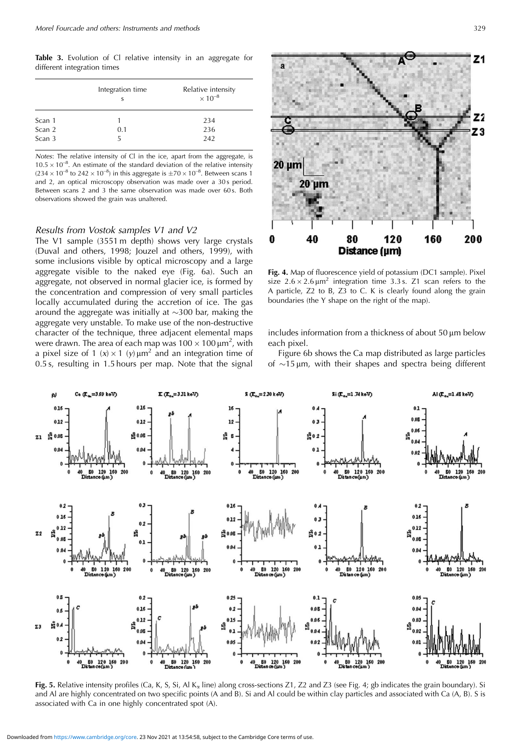**Table 3.** Evolution of Cl relative intensity in an aggregate for different integration times

|        | Integration time | Relative intensity<br>$\times 10^{-8}$ |  |  |  |  |
|--------|------------------|----------------------------------------|--|--|--|--|
| Scan 1 |                  | 234                                    |  |  |  |  |
| Scan 2 | 0.1              | 236                                    |  |  |  |  |
| Scan 3 | 5                | 242                                    |  |  |  |  |

Notes: The relative intensity of Cl in the ice, apart from the aggregate, is  $10.5 \times 10^{-8}$ . An estimate of the standard deviation of the relative intensity  $(234 \times 10^{-8}$  to  $242 \times 10^{-8})$  in this aggregate is  $\pm 70 \times 10^{-8}$ . Between scans 1 and 2, an optical microscopy observation was made over a 30s period. Between scans 2 and 3 the same observation was made over 60s. Both observations showed the grain was unaltered.

#### Results from Vostok samples V1 and V2

The V1 sample (3551 m depth) shows very large crystals (Duval and others, 1998; Jouzel and others, 1999), with some inclusions visible by optical microscopy and a large aggregate visible to the naked eye (Fig. 6a). Such an aggregate, not observed in normal glacier ice, is formed by the concentration and compression of very small particles locally accumulated during the accretion of ice. The gas around the aggregate was initially at  $\sim$ 300 bar, making the aggregate very unstable. To make use of the non-destructive character of the technique, three adjacent elemental maps were drawn. The area of each map was  $100 \times 100 \mu m^2$ , with a pixel size of 1 (x)  $\times$  1 (y)  $\mu$ m<sup>2</sup> and an integration time of 0.5 s, resulting in 1.5 hours per map. Note that the signal





**Fig. 4.** Map of fluorescence yield of potassium (DC1 sample). Pixel size  $2.6 \times 2.6 \,\mathrm{\upmu m}^2$  integration time 3.3 s. Z1 scan refers to the A particle, Z2 to B, Z3 to C. K is clearly found along the grain boundaries (the Y shape on the right of the map).

includes information from a thickness of about  $50 \mu m$  below each pixel.

Figure 6b shows the Ca map distributed as large particles of  $\sim$ 15  $\mu$ m, with their shapes and spectra being different



Fig. 5. Relative intensity profiles (Ca, K, S, Si, Al K<sub>a</sub> line) along cross-sections Z1, Z2 and Z3 (see Fig. 4; gb indicates the grain boundary). Si and Al are highly concentrated on two specific points (A and B). Si and Al could be within clay particles and associated with Ca (A, B). S is associated with Ca in one highly concentrated spot (A).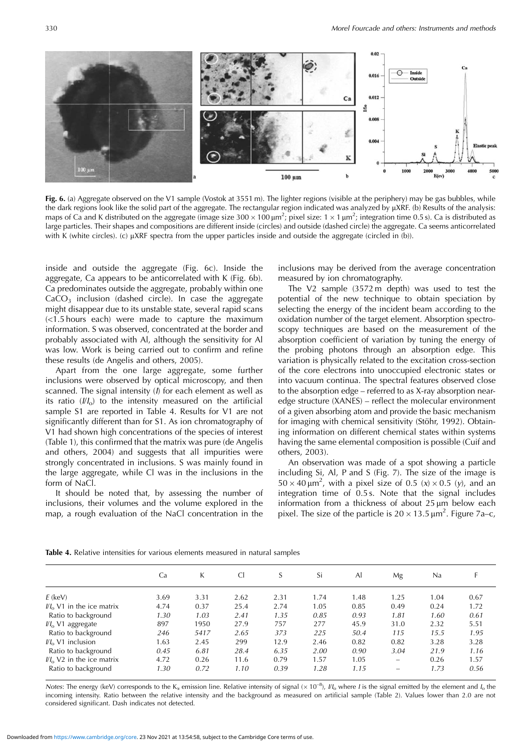

**Fig. 6.** (a) Aggregate observed on the V1 sample (Vostok at 3551 m). The lighter regions (visible at the periphery) may be gas bubbles, while the dark regions look like the solid part of the aggregate. The rectangular region indicated was analyzed by  $\mu$ XRF. (b) Results of the analysis: maps of Ca and K distributed on the aggregate (image size  $300 \times 100 \mu m^2$ ; pixel size:  $1 \times 1 \mu m^2$ ; integration time 0.5 s). Ca is distributed as large particles. Their shapes and compositions are different inside (circles) and outside (dashed circle) the aggregate. Ca seems anticorrelated with K (white circles). (c)  $\mu$ XRF spectra from the upper particles inside and outside the aggregate (circled in (b)).

inside and outside the aggregate (Fig. 6c). Inside the aggregate, Ca appears to be anticorrelated with K (Fig. 6b). Ca predominates outside the aggregate, probably within one  $CaCO<sub>3</sub>$  inclusion (dashed circle). In case the aggregate might disappear due to its unstable state, several rapid scans  $\left($ <1.5 hours each) were made to capture the maximum information. S was observed, concentrated at the border and probably associated with Al, although the sensitivity for Al was low. Work is being carried out to confirm and refine these results (de Angelis and others, 2005).

Apart from the one large aggregate, some further inclusions were observed by optical microscopy, and then scanned. The signal intensity (*I*) for each element as well as its ratio  $(II_0)$  to the intensity measured on the artificial sample S1 are reported in Table 4. Results for V1 are not significantly different than for S1. As ion chromatography of V1 had shown high concentrations of the species of interest (Table 1), this confirmed that the matrix was pure (de Angelis and others, 2004) and suggests that all impurities were strongly concentrated in inclusions. S was mainly found in the large aggregate, while Cl was in the inclusions in the form of NaCl.

It should be noted that, by assessing the number of inclusions, their volumes and the volume explored in the map, a rough evaluation of the NaCl concentration in the inclusions may be derived from the average concentration measured by ion chromatography.

The V2 sample (3572 m depth) was used to test the potential of the new technique to obtain speciation by selecting the energy of the incident beam according to the oxidation number of the target element. Absorption spectroscopy techniques are based on the measurement of the absorption coefficient of variation by tuning the energy of the probing photons through an absorption edge. This variation is physically related to the excitation cross-section of the core electrons into unoccupied electronic states or into vacuum continua. The spectral features observed close to the absorption edge – referred to as X-ray absorption nearedge structure (XANES) – reflect the molecular environment of a given absorbing atom and provide the basic mechanism for imaging with chemical sensitivity (Stöhr, 1992). Obtaining information on different chemical states within systems having the same elemental composition is possible (Cuif and others, 2003).

An observation was made of a spot showing a particle including Si, Al, P and S (Fig. 7). The size of the image is  $50 \times 40 \,\text{\mu m}^2$ , with a pixel size of 0.5 (x)  $\times$  0.5 (y), and an integration time of 0.5 s. Note that the signal includes information from a thickness of about  $25 \mu m$  below each pixel. The size of the particle is  $20 \times 13.5 \,\text{\textmu m}^2$ . Figure 7a–c,

|                                    | Ca   | K    | <sub>C</sub> |      | Si   | Al   | Mg                       | Na   |      |
|------------------------------------|------|------|--------------|------|------|------|--------------------------|------|------|
| $E$ (keV)                          | 3.69 | 3.31 | 2.62         | 2.31 | 1.74 | 1.48 | 1.25                     | 1.04 | 0.67 |
| $IIIo$ V1 in the ice matrix        | 4.74 | 0.37 | 25.4         | 2.74 | 1.05 | 0.85 | 0.49                     | 0.24 | 1.72 |
| Ratio to background                | 1.30 | 1.03 | 2.41         | 1.35 | 0.85 | 0.93 | 1.81                     | 1.60 | 0.61 |
| $IIo$ V1 aggregate                 | 897  | 1950 | 27.9         | 757  | 277  | 45.9 | 31.0                     | 2.32 | 5.51 |
| Ratio to background                | 246  | 5417 | 2.65         | 373  | 225  | 50.4 | 115                      | 15.5 | 1.95 |
| $\mathcal{U}_0$ V1 inclusion       | 1.63 | 2.45 | 299          | 12.9 | 2.46 | 0.82 | 0.82                     | 3.28 | 3.28 |
| Ratio to background                | 0.45 | 6.81 | 28.4         | 6.35 | 2.00 | 0.90 | 3.04                     | 21.9 | 1.16 |
| $\frac{1}{4}$ V2 in the ice matrix | 4.72 | 0.26 | 11.6         | 0.79 | 1.57 | 1.05 | $\overline{\phantom{0}}$ | 0.26 | 1.57 |
| Ratio to background                | 1.30 | 0.72 | 1.10         | 0.39 | 1.28 | 1.15 | $\overline{\phantom{0}}$ | 1.73 | 0.56 |

**Table 4.** Relative intensities for various elements measured in natural samples

Notes: The energy (keV) corresponds to the K<sub>a</sub> emission line. Relative intensity of signal ( $\times 10^{-8}$ ),  $I/I_0$  where *I* is the signal emitted by the element and  $I_0$  the incoming intensity. Ratio between the relative intensity and the background as measured on artificial sample (Table 2). Values lower than 2.0 are not considered significant. Dash indicates not detected.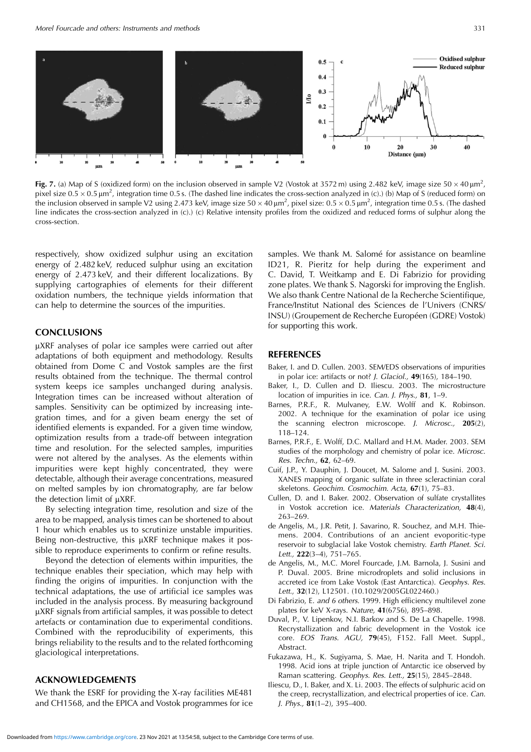

**Fig. 7.** (a) Map of S (oxidized form) on the inclusion observed in sample V2 (Vostok at 3572 m) using 2.482 keV, image size  $50 \times 40 \mu m^2$ , pixel size  $0.5 \times 0.5 \mu m^2$ , integration time 0.5 s. (The dashed line indicates the cross-section analyzed in (c).) (b) Map of S (reduced form) on the inclusion observed in sample V2 using 2.473 keV, image size  $50 \times 40 \mu m^2$ , pixel size:  $0.5 \times 0.5 \mu m^2$ , integration time 0.5 s. (The dashed line indicates the cross-section analyzed in (c).) (c) Relative intensity profiles from the oxidized and reduced forms of sulphur along the cross-section.

respectively, show oxidized sulphur using an excitation energy of 2.482 keV, reduced sulphur using an excitation energy of 2.473 keV, and their different localizations. By supplying cartographies of elements for their different oxidation numbers, the technique yields information that can help to determine the sources of the impurities.

#### **CONCLUSIONS**

µXRF analyses of polar ice samples were carried out after adaptations of both equipment and methodology. Results obtained from Dome C and Vostok samples are the first results obtained from the technique. The thermal control system keeps ice samples unchanged during analysis. Integration times can be increased without alteration of samples. Sensitivity can be optimized by increasing integration times, and for a given beam energy the set of identified elements is expanded. For a given time window, optimization results from a trade-off between integration time and resolution. For the selected samples, impurities were not altered by the analyses. As the elements within impurities were kept highly concentrated, they were detectable, although their average concentrations, measured on melted samples by ion chromatography, are far below the detection limit of  $\mu$ XRF.

By selecting integration time, resolution and size of the area to be mapped, analysis times can be shortened to about 1 hour which enables us to scrutinize unstable impurities. Being non-destructive, this µXRF technique makes it possible to reproduce experiments to confirm or refine results.

Beyond the detection of elements within impurities, the technique enables their speciation, which may help with finding the origins of impurities. In conjunction with the technical adaptations, the use of artificial ice samples was included in the analysis process. By measuring background mXRF signals from artificial samples, it was possible to detect artefacts or contamination due to experimental conditions. Combined with the reproducibility of experiments, this brings reliability to the results and to the related forthcoming glaciological interpretations.

### **ACKNOWLEDGEMENTS**

We thank the ESRF for providing the X-ray facilities ME481 and CH1568, and the EPICA and Vostok programmes for ice samples. We thank M. Salomé for assistance on beamline ID21, R. Pieritz for help during the experiment and C. David, T. Weitkamp and E. Di Fabrizio for providing zone plates. We thank S. Nagorski for improving the English. We also thank Centre National de la Recherche Scientifique, France/Institut National des Sciences de l'Univers (CNRS/ INSU) (Groupement de Recherche Européen (GDRE) Vostok) for supporting this work.

#### **REFERENCES**

- Baker, I. and D. Cullen. 2003. SEM/EDS observations of impurities in polar ice: artifacts or not? J. Glaciol., **49**(165), 184–190.
- Baker, I., D. Cullen and D. Iliescu. 2003. The microstructure location of impurities in ice. Can. J. Phys., **81**, 1–9.
- Barnes, P.R.F., R. Mulvaney, E.W. Wolff and K. Robinson. 2002. A technique for the examination of polar ice using the scanning electron microscope. J. Microsc., **205**(2), 118–124.
- Barnes, P.R.F., E. Wolff, D.C. Mallard and H.M. Mader. 2003. SEM studies of the morphology and chemistry of polar ice. Microsc. Res. Techn., **62**, 62–69.
- Cuif, J.P., Y. Dauphin, J. Doucet, M. Salome and J. Susini. 2003. XANES mapping of organic sulfate in three scleractinian coral skeletons. Geochim. Cosmochim. Acta, **67**(1), 75–83.
- Cullen, D. and I. Baker. 2002. Observation of sulfate crystallites in Vostok accretion ice. Materials Characterization, **48**(4), 263–269.
- de Angelis, M., J.R. Petit, J. Savarino, R. Souchez, and M.H. Thiemens. 2004. Contributions of an ancient evoporitic-type reservoir to subglacial lake Vostok chemistry. Earth Planet. Sci. Lett., **222**(3–4), 751–765.
- de Angelis, M., M.C. Morel Fourcade, J.M. Barnola, J. Susini and P. Duval. 2005. Brine microdroplets and solid inclusions in accreted ice from Lake Vostok (East Antarctica). Geophys. Res. Lett., **32**(12), L12501. (10.1029/2005GL022460.)
- Di Fabrizio, E. and 6 others. 1999. High efficiency multilevel zone plates for keV X-rays. Nature, **41**(6756), 895–898.
- Duval, P., V. Lipenkov, N.I. Barkov and S. De La Chapelle. 1998. Recrystallization and fabric development in the Vostok ice core. EOS Trans. AGU, **79**(45), F152. Fall Meet. Suppl., Abstract.
- Fukazawa, H., K. Sugiyama, S. Mae, H. Narita and T. Hondoh. 1998. Acid ions at triple junction of Antarctic ice observed by Raman scattering. Geophys. Res. Lett., **25**(15), 2845–2848.
- Iliescu, D., I. Baker, and X. Li. 2003. The effects of sulphuric acid on the creep, recrystallization, and electrical properties of ice. Can. J. Phys., **81**(1–2), 395–400.